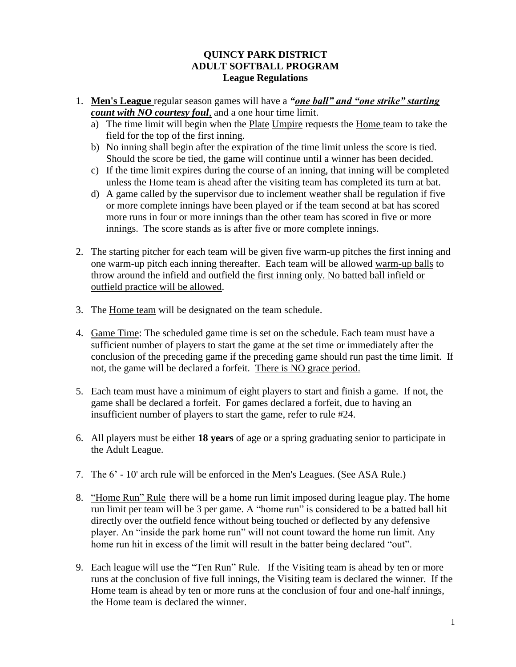## **QUINCY PARK DISTRICT ADULT SOFTBALL PROGRAM League Regulations**

- 1. **Men's League** regular season games will have a *"one ball" and "one strike" starting count with NO courtesy foul*, and a one hour time limit.
	- a) The time limit will begin when the Plate Umpire requests the Home team to take the field for the top of the first inning.
	- b) No inning shall begin after the expiration of the time limit unless the score is tied. Should the score be tied, the game will continue until a winner has been decided.
	- c) If the time limit expires during the course of an inning, that inning will be completed unless the Home team is ahead after the visiting team has completed its turn at bat.
	- d) A game called by the supervisor due to inclement weather shall be regulation if five or more complete innings have been played or if the team second at bat has scored more runs in four or more innings than the other team has scored in five or more innings. The score stands as is after five or more complete innings.
- 2. The starting pitcher for each team will be given five warm-up pitches the first inning and one warm-up pitch each inning thereafter. Each team will be allowed warm-up balls to throw around the infield and outfield the first inning only. No batted ball infield or outfield practice will be allowed.
- 3. The Home team will be designated on the team schedule.
- 4. Game Time: The scheduled game time is set on the schedule. Each team must have a sufficient number of players to start the game at the set time or immediately after the conclusion of the preceding game if the preceding game should run past the time limit. If not, the game will be declared a forfeit. There is NO grace period.
- 5. Each team must have a minimum of eight players to start and finish a game. If not, the game shall be declared a forfeit. For games declared a forfeit, due to having an insufficient number of players to start the game, refer to rule #24.
- 6. All players must be either **18 years** of age or a spring graduating senior to participate in the Adult League.
- 7. The 6' 10' arch rule will be enforced in the Men's Leagues. (See ASA Rule.)
- 8. "Home Run" Rule there will be a home run limit imposed during league play. The home run limit per team will be 3 per game. A "home run" is considered to be a batted ball hit directly over the outfield fence without being touched or deflected by any defensive player. An "inside the park home run" will not count toward the home run limit. Any home run hit in excess of the limit will result in the batter being declared "out".
- 9. Each league will use the "Ten Run" Rule. If the Visiting team is ahead by ten or more runs at the conclusion of five full innings, the Visiting team is declared the winner. If the Home team is ahead by ten or more runs at the conclusion of four and one-half innings, the Home team is declared the winner.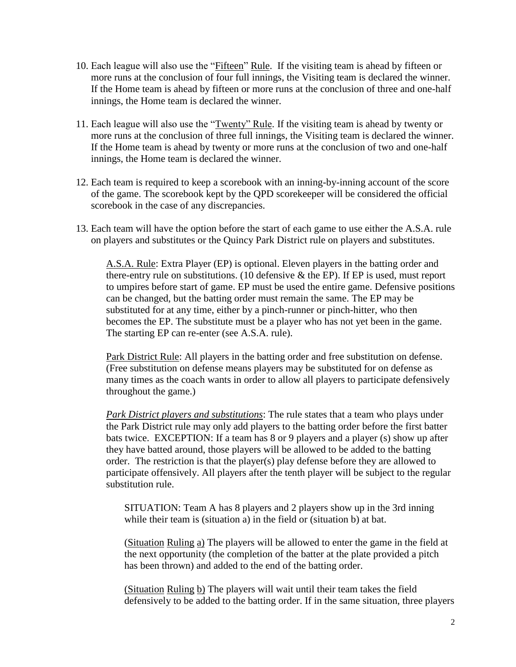- 10. Each league will also use the "Fifteen" Rule. If the visiting team is ahead by fifteen or more runs at the conclusion of four full innings, the Visiting team is declared the winner. If the Home team is ahead by fifteen or more runs at the conclusion of three and one-half innings, the Home team is declared the winner.
- 11. Each league will also use the "Twenty" Rule. If the visiting team is ahead by twenty or more runs at the conclusion of three full innings, the Visiting team is declared the winner. If the Home team is ahead by twenty or more runs at the conclusion of two and one-half innings, the Home team is declared the winner.
- 12. Each team is required to keep a scorebook with an inning-by-inning account of the score of the game. The scorebook kept by the QPD scorekeeper will be considered the official scorebook in the case of any discrepancies.
- 13. Each team will have the option before the start of each game to use either the A.S.A. rule on players and substitutes or the Quincy Park District rule on players and substitutes.

A.S.A. Rule: Extra Player (EP) is optional. Eleven players in the batting order and there-entry rule on substitutions. (10 defensive & the EP). If EP is used, must report to umpires before start of game. EP must be used the entire game. Defensive positions can be changed, but the batting order must remain the same. The EP may be substituted for at any time, either by a pinch-runner or pinch-hitter, who then becomes the EP. The substitute must be a player who has not yet been in the game. The starting EP can re-enter (see A.S.A. rule).

Park District Rule: All players in the batting order and free substitution on defense. (Free substitution on defense means players may be substituted for on defense as many times as the coach wants in order to allow all players to participate defensively throughout the game.)

*Park District players and substitutions*: The rule states that a team who plays under the Park District rule may only add players to the batting order before the first batter bats twice. EXCEPTION: If a team has 8 or 9 players and a player (s) show up after they have batted around, those players will be allowed to be added to the batting order. The restriction is that the player(s) play defense before they are allowed to participate offensively. All players after the tenth player will be subject to the regular substitution rule.

SITUATION: Team A has 8 players and 2 players show up in the 3rd inning while their team is (situation a) in the field or (situation b) at bat.

(Situation Ruling a) The players will be allowed to enter the game in the field at the next opportunity (the completion of the batter at the plate provided a pitch has been thrown) and added to the end of the batting order.

(Situation Ruling b) The players will wait until their team takes the field defensively to be added to the batting order. If in the same situation, three players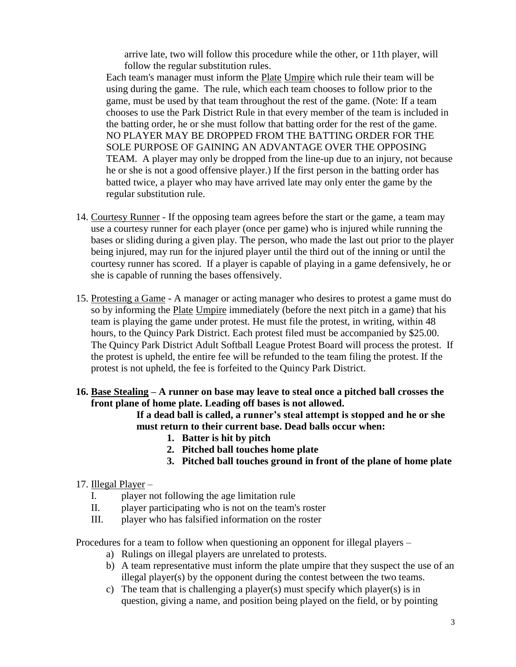arrive late, two will follow this procedure while the other, or 11th player, will follow the regular substitution rules.

Each team's manager must inform the Plate Umpire which rule their team will be using during the game. The rule, which each team chooses to follow prior to the game, must be used by that team throughout the rest of the game. (Note: If a team chooses to use the Park District Rule in that every member of the team is included in the batting order, he or she must follow that batting order for the rest of the game. NO PLAYER MAY BE DROPPED FROM THE BATTING ORDER FOR THE SOLE PURPOSE OF GAINING AN ADVANTAGE OVER THE OPPOSING TEAM. A player may only be dropped from the line-up due to an injury, not because he or she is not a good offensive player.) If the first person in the batting order has batted twice, a player who may have arrived late may only enter the game by the regular substitution rule.

- 14. Courtesy Runner If the opposing team agrees before the start or the game, a team may use a courtesy runner for each player (once per game) who is injured while running the bases or sliding during a given play. The person, who made the last out prior to the player being injured, may run for the injured player until the third out of the inning or until the courtesy runner has scored. If a player is capable of playing in a game defensively, he or she is capable of running the bases offensively.
- 15. Protesting a Game A manager or acting manager who desires to protest a game must do so by informing the **Plate Umpire** immediately (before the next pitch in a game) that his team is playing the game under protest. He must file the protest, in writing, within 48 hours, to the Quincy Park District. Each protest filed must be accompanied by \$25.00. The Quincy Park District Adult Softball League Protest Board will process the protest. If the protest is upheld, the entire fee will be refunded to the team filing the protest. If the protest is not upheld, the fee is forfeited to the Quincy Park District.
- **16. Base Stealing – A runner on base may leave to steal once a pitched ball crosses the front plane of home plate. Leading off bases is not allowed.**

**If a dead ball is called, a runner's steal attempt is stopped and he or she must return to their current base. Dead balls occur when:**

- **1. Batter is hit by pitch**
- **2. Pitched ball touches home plate**
- **3. Pitched ball touches ground in front of the plane of home plate**

## 17. Illegal Player –

- I. player not following the age limitation rule
- II. player participating who is not on the team's roster
- III. player who has falsified information on the roster

Procedures for a team to follow when questioning an opponent for illegal players –

- a) Rulings on illegal players are unrelated to protests.
- b) A team representative must inform the plate umpire that they suspect the use of an illegal player(s) by the opponent during the contest between the two teams.
- c) The team that is challenging a player(s) must specify which player(s) is in question, giving a name, and position being played on the field, or by pointing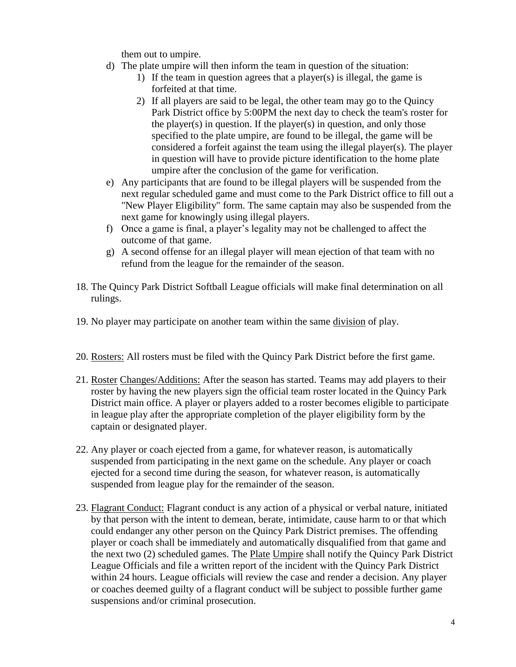them out to umpire.

- d) The plate umpire will then inform the team in question of the situation:
	- 1) If the team in question agrees that a player(s) is illegal, the game is forfeited at that time.
	- 2) If all players are said to be legal, the other team may go to the Quincy Park District office by 5:00PM the next day to check the team's roster for the player(s) in question. If the player(s) in question, and only those specified to the plate umpire, are found to be illegal, the game will be considered a forfeit against the team using the illegal player(s). The player in question will have to provide picture identification to the home plate umpire after the conclusion of the game for verification.
- e) Any participants that are found to be illegal players will be suspended from the next regular scheduled game and must come to the Park District office to fill out a "New Player Eligibility" form. The same captain may also be suspended from the next game for knowingly using illegal players.
- f) Once a game is final, a player's legality may not be challenged to affect the outcome of that game.
- g) A second offense for an illegal player will mean ejection of that team with no refund from the league for the remainder of the season.
- 18. The Quincy Park District Softball League officials will make final determination on all rulings.
- 19. No player may participate on another team within the same division of play.
- 20. Rosters: All rosters must be filed with the Quincy Park District before the first game.
- 21. Roster Changes/Additions: After the season has started. Teams may add players to their roster by having the new players sign the official team roster located in the Quincy Park District main office. A player or players added to a roster becomes eligible to participate in league play after the appropriate completion of the player eligibility form by the captain or designated player.
- 22. Any player or coach ejected from a game, for whatever reason, is automatically suspended from participating in the next game on the schedule. Any player or coach ejected for a second time during the season, for whatever reason, is automatically suspended from league play for the remainder of the season.
- 23. Flagrant Conduct: Flagrant conduct is any action of a physical or verbal nature, initiated by that person with the intent to demean, berate, intimidate, cause harm to or that which could endanger any other person on the Quincy Park District premises. The offending player or coach shall be immediately and automatically disqualified from that game and the next two (2) scheduled games. The Plate Umpire shall notify the Quincy Park District League Officials and file a written report of the incident with the Quincy Park District within 24 hours. League officials will review the case and render a decision. Any player or coaches deemed guilty of a flagrant conduct will be subject to possible further game suspensions and/or criminal prosecution.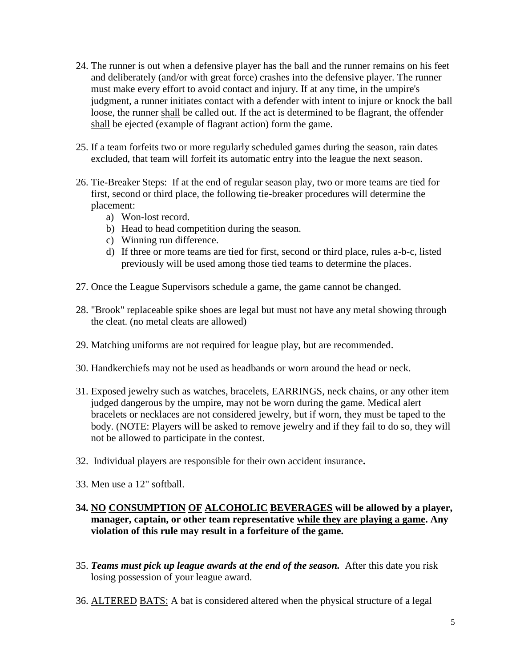- 24. The runner is out when a defensive player has the ball and the runner remains on his feet and deliberately (and/or with great force) crashes into the defensive player. The runner must make every effort to avoid contact and injury. If at any time, in the umpire's judgment, a runner initiates contact with a defender with intent to injure or knock the ball loose, the runner shall be called out. If the act is determined to be flagrant, the offender shall be ejected (example of flagrant action) form the game.
- 25. If a team forfeits two or more regularly scheduled games during the season, rain dates excluded, that team will forfeit its automatic entry into the league the next season.
- 26. Tie-Breaker Steps: If at the end of regular season play, two or more teams are tied for first, second or third place, the following tie-breaker procedures will determine the placement:
	- a) Won-lost record.
	- b) Head to head competition during the season.
	- c) Winning run difference.
	- d) If three or more teams are tied for first, second or third place, rules a-b-c, listed previously will be used among those tied teams to determine the places.
- 27. Once the League Supervisors schedule a game, the game cannot be changed.
- 28. "Brook" replaceable spike shoes are legal but must not have any metal showing through the cleat. (no metal cleats are allowed)
- 29. Matching uniforms are not required for league play, but are recommended.
- 30. Handkerchiefs may not be used as headbands or worn around the head or neck.
- 31. Exposed jewelry such as watches, bracelets, **EARRINGS**, neck chains, or any other item judged dangerous by the umpire, may not be worn during the game. Medical alert bracelets or necklaces are not considered jewelry, but if worn, they must be taped to the body. (NOTE: Players will be asked to remove jewelry and if they fail to do so, they will not be allowed to participate in the contest.
- 32. Individual players are responsible for their own accident insurance**.**
- 33. Men use a 12" softball.
- **34. NO CONSUMPTION OF ALCOHOLIC BEVERAGES will be allowed by a player, manager, captain, or other team representative while they are playing a game. Any violation of this rule may result in a forfeiture of the game.**
- 35. *Teams must pick up league awards at the end of the season.* After this date you risk losing possession of your league award.
- 36. ALTERED BATS: A bat is considered altered when the physical structure of a legal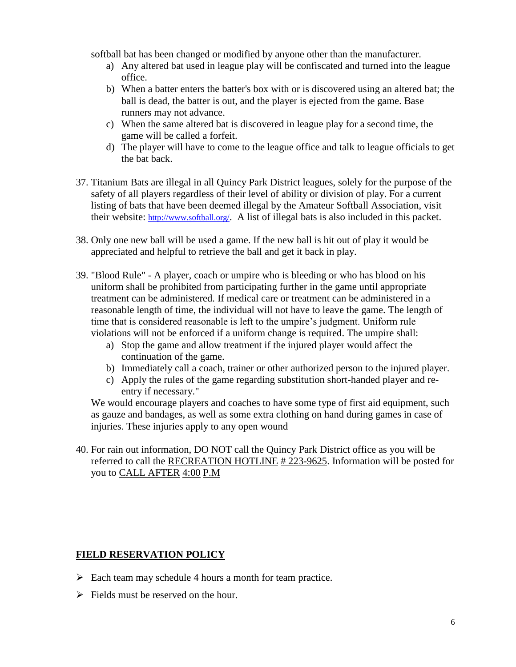softball bat has been changed or modified by anyone other than the manufacturer.

- a) Any altered bat used in league play will be confiscated and turned into the league office.
- b) When a batter enters the batter's box with or is discovered using an altered bat; the ball is dead, the batter is out, and the player is ejected from the game. Base runners may not advance.
- c) When the same altered bat is discovered in league play for a second time, the game will be called a forfeit.
- d) The player will have to come to the league office and talk to league officials to get the bat back.
- 37. Titanium Bats are illegal in all Quincy Park District leagues, solely for the purpose of the safety of all players regardless of their level of ability or division of play. For a current listing of bats that have been deemed illegal by the Amateur Softball Association, visit their website: <http://www.softball.org/>. A list of illegal bats is also included in this packet.
- 38. Only one new ball will be used a game. If the new ball is hit out of play it would be appreciated and helpful to retrieve the ball and get it back in play.
- 39. "Blood Rule" A player, coach or umpire who is bleeding or who has blood on his uniform shall be prohibited from participating further in the game until appropriate treatment can be administered. If medical care or treatment can be administered in a reasonable length of time, the individual will not have to leave the game. The length of time that is considered reasonable is left to the umpire's judgment. Uniform rule violations will not be enforced if a uniform change is required. The umpire shall:
	- a) Stop the game and allow treatment if the injured player would affect the continuation of the game.
	- b) Immediately call a coach, trainer or other authorized person to the injured player.
	- c) Apply the rules of the game regarding substitution short-handed player and reentry if necessary."

We would encourage players and coaches to have some type of first aid equipment, such as gauze and bandages, as well as some extra clothing on hand during games in case of injuries. These injuries apply to any open wound

40. For rain out information, DO NOT call the Quincy Park District office as you will be referred to call the RECREATION HOTLINE # 223-9625. Information will be posted for you to CALL AFTER 4:00 P.M

## **FIELD RESERVATION POLICY**

- $\triangleright$  Each team may schedule 4 hours a month for team practice.
- $\triangleright$  Fields must be reserved on the hour.